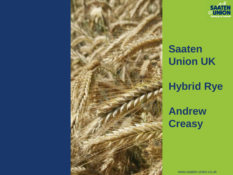

# **Saaten Union UK Hybrid Rye Andrew Creasy**

www.saaten-union.co.uk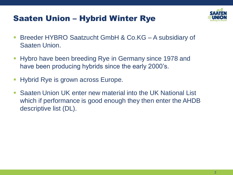### Saaten Union – Hybrid Winter Rye



- Breeder HYBRO Saatzucht GmbH & Co.KG A subsidiary of Saaten Union.
- Hybro have been breeding Rye in Germany since 1978 and have been producing hybrids since the early 2000's.
- Hybrid Rye is grown across Europe.
- Saaten Union UK enter new material into the UK National List which if performance is good enough they then enter the AHDB descriptive list (DL).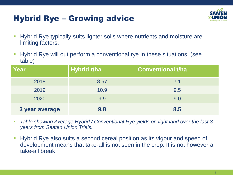### Hybrid Rye – Growing advice



- **Hybrid Rye typically suits lighter soils where nutrients and moisture are** limiting factors.
- Hybrid Rye will out perform a conventional rye in these situations. (see table)

| <b>Year</b>    | <b>Hybrid t/ha</b> | <b>Conventional t/ha</b> |
|----------------|--------------------|--------------------------|
| 2018           | 8.67               | 7.1                      |
| 2019           | 10.9               | 9.5                      |
| 2020           | 9.9                | 9.0                      |
| 3 year average | 9.8                | 8.5                      |

- Table showing Average Hybrid / Conventional Rye yields on light land over the last 3 *years from Saaten Union Trials.*
- **.** Hybrid Rye also suits a second cereal position as its vigour and speed of development means that take-all is not seen in the crop. It is not however a take-all break.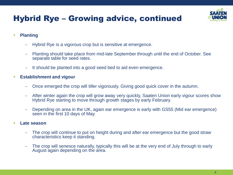## Hybrid Rye – Growing advice, continued



- **Planting**
	- − Hybrid Rye is a vigorous crop but is sensitive at emergence.
	- − Planting should take place from mid-late September through until the end of October. See separate table for seed rates.
	- It should be planted into a good seed bed to aid even emergence.
- **Establishment and vigour**
	- Once emerged the crop will tiller vigorously. Giving good quick cover in the autumn.
	- After winter again the crop will grow away very quickly, Saaten Union early vigour scores show Hybrid Rye starting to move through growth stages by early February.
	- − Depending on area in the UK, again ear emergence is early with GS55 (Mid ear emergence) seen in the first 10 days of May.

#### ▪ **Late season**

- The crop will continue to put on height during and after ear emergence but the good straw characteristics keep it standing.
- The crop will senesce naturally, typically this will be at the very end of July through to early August again depending on the area.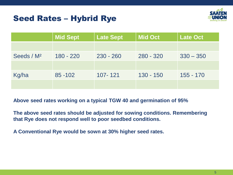### Seed Rates – Hybrid Rye



|                        | <b>Mid Sept</b> | <b>Late Sept</b> | <b>Mid Oct</b> | <b>Late Oct</b> |
|------------------------|-----------------|------------------|----------------|-----------------|
|                        |                 |                  |                |                 |
| Seeds / M <sup>2</sup> | $180 - 220$     | $230 - 260$      | $280 - 320$    | $330 - 350$     |
|                        |                 |                  |                |                 |
| Kg/ha                  | $85 - 102$      | 107-121          | $130 - 150$    | 155 - 170       |
|                        |                 |                  |                |                 |

**Above seed rates working on a typical TGW 40 and germination of 95%**

**The above seed rates should be adjusted for sowing conditions. Remembering that Rye does not respond well to poor seedbed conditions.** 

**A Conventional Rye would be sown at 30% higher seed rates.**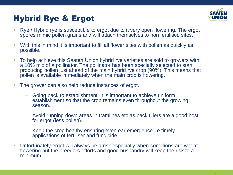### Hybrid Rye & Ergot



- Rye / Hybrid rye is susceptible to ergot due to it very open flowering. The ergot spores mimic pollen grains and will attach themselves to non fertilised sites.
- With this in mind it is important to fill all flower sites with pollen as quickly as possible.
- To help achieve this Saaten Union hybrid rye varieties are sold to growers with a 10% mix of a pollinator. The pollinator has been specially selected to start producing pollen just ahead of the main hybrid rye crop (90%). This means that pollen is available immediately when the main crop is flowering.
- The grower can also help reduce instances of ergot.
	- − Going back to establishment, it is important to achieve uniform establishment so that the crop remains even throughout the growing season.
	- − Avoid running down areas in tramlines etc as back tillers are a good host for ergot (less pollen).
	- − Keep the crop healthy ensuring even ear emergence i.e timely applications of fertiliser and fungicide.
- Unfortunately ergot will always be a risk especially when conditions are wet at flowering but the breeders efforts and good husbandry will keep the risk to a minimum.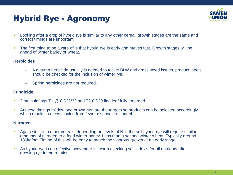### Hybrid Rye - Agronomy



- **•** Looking after a crop of hybrid rye is similar to any other cereal, growth stages are the same and correct timings are important.
- **The first thing to be aware of is that hybrid rye is early and moves fast. Growth stages will be** ahead of winter barley or wheat.

#### **Herbicides**

- − A autumn herbicide usually is needed to tackle BLW and grass weed issues, product labels should be checked for the inclusion of winter rye.
- − Spring herbicides are not required.

#### **Fungicide**

- 2 main timings T1 @ GS32/33 and T2 GS39 flag leaf fully emerged.
- **EXT** At these timings mildew and brown rust are the targets so products can be selected accordingly which results in a cost saving from fewer diseases to control.

#### **Nitrogen**

- **EXEDENT Again similar to other cereals, depending on levels of N in the soil hybrid rye will require similar** amounts of nitrogen to a feed winter barley. Less than a second winter wheat. Typically around 180kg/ha. Timing of this will be early to match the vigorous growth at an early stage.
- **EXECT** As hybrid rye is an effective scavenger its worth checking soil index's for all nutrients after growing rye in the rotation.